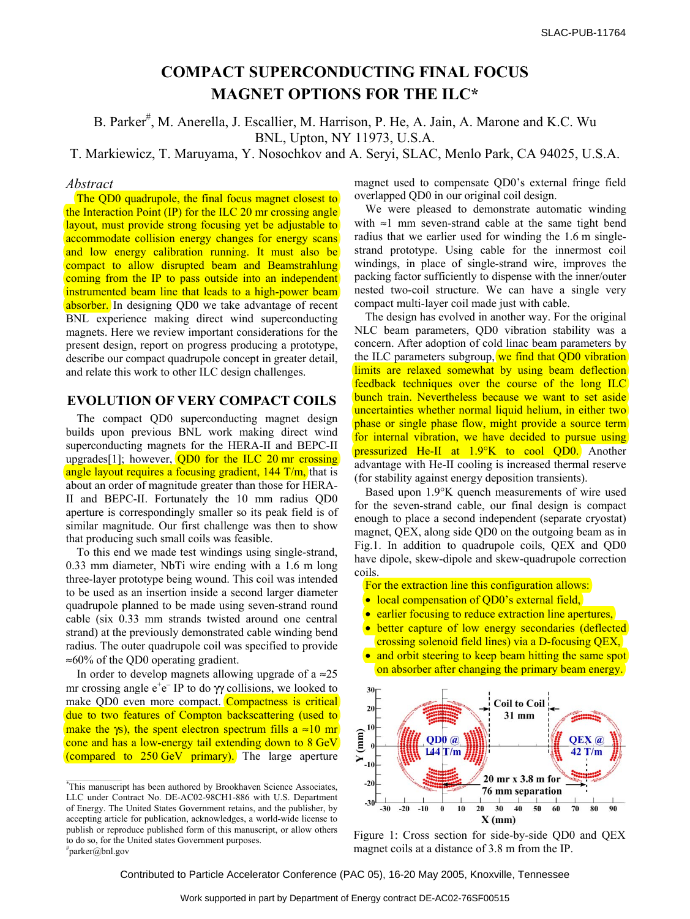# **COMPACT SUPERCONDUCTING FINAL FOCUS MAGNET OPTIONS FOR THE ILC\***

B. Parker<sup>#</sup>, M. Anerella, J. Escallier, M. Harrison, P. He, A. Jain, A. Marone and K.C. Wu BNL, Upton, NY 11973, U.S.A.

T. Markiewicz, T. Maruyama, Y. Nosochkov and A. Seryi, SLAC, Menlo Park, CA 94025, U.S.A.

### *Abstract*

The QD0 quadrupole, the final focus magnet closest to the Interaction Point (IP) for the ILC 20 mr crossing angle layout, must provide strong focusing yet be adjustable to accommodate collision energy changes for energy scans and low energy calibration running. It must also be compact to allow disrupted beam and Beamstrahlung coming from the IP to pass outside into an independent instrumented beam line that leads to a high-power beam absorber. In designing QD0 we take advantage of recent BNL experience making direct wind superconducting magnets. Here we review important considerations for the present design, report on progress producing a prototype, describe our compact quadrupole concept in greater detail, and relate this work to other ILC design challenges.

## **EVOLUTION OF VERY COMPACT COILS**

The compact QD0 superconducting magnet design builds upon previous BNL work making direct wind superconducting magnets for the HERA-II and BEPC-II upgrades[1]; however, QD0 for the ILC 20 mr crossing angle layout requires a focusing gradient, 144 T/m, that is about an order of magnitude greater than those for HERA-II and BEPC-II. Fortunately the 10 mm radius QD0 aperture is correspondingly smaller so its peak field is of similar magnitude. Our first challenge was then to show that producing such small coils was feasible.

To this end we made test windings using single-strand, 0.33 mm diameter, NbTi wire ending with a 1.6 m long three-layer prototype being wound. This coil was intended to be used as an insertion inside a second larger diameter quadrupole planned to be made using seven-strand round cable (six 0.33 mm strands twisted around one central strand) at the previously demonstrated cable winding bend radius. The outer quadrupole coil was specified to provide ≈60% of the QD0 operating gradient.

In order to develop magnets allowing upgrade of a  $\approx 25$ mr crossing angle  $e^+e^-$  IP to do  $\gamma$  collisions, we looked to make QD0 even more compact. Compactness is critical due to two features of Compton backscattering (used to make the  $\gamma s$ ), the spent electron spectrum fills a ≈10 mm cone and has a low-energy tail extending down to 8 GeV (compared to 250 GeV primary). The large aperture

magnet used to compensate QD0's external fringe field overlapped QD0 in our original coil design.

We were pleased to demonstrate automatic winding with ≈1 mm seven-strand cable at the same tight bend radius that we earlier used for winding the 1.6 m singlestrand prototype. Using cable for the innermost coil windings, in place of single-strand wire, improves the packing factor sufficiently to dispense with the inner/outer nested two-coil structure. We can have a single very compact multi-layer coil made just with cable.

The design has evolved in another way. For the original NLC beam parameters, QD0 vibration stability was a concern. After adoption of cold linac beam parameters by the ILC parameters subgroup, we find that QD0 vibration limits are relaxed somewhat by using beam deflection feedback techniques over the course of the long ILC bunch train. Nevertheless because we want to set aside uncertainties whether normal liquid helium, in either two phase or single phase flow, might provide a source term for internal vibration, we have decided to pursue using pressurized He-II at 1.9°K to cool OD0. Another advantage with He-II cooling is increased thermal reserve (for stability against energy deposition transients).

Based upon 1.9°K quench measurements of wire used for the seven-strand cable, our final design is compact enough to place a second independent (separate cryostat) magnet, QEX, along side QD0 on the outgoing beam as in Fig.1. In addition to quadrupole coils, QEX and QD0 have dipole, skew-dipole and skew-quadrupole correction coils.

For the extraction line this configuration allows:

- local compensation of QD0's external field,
- earlier focusing to reduce extraction line apertures,
- better capture of low energy secondaries (deflected) crossing solenoid field lines) via a D-focusing QEX,
- and orbit steering to keep beam hitting the same spot on absorber after changing the primary beam energy.



Figure 1: Cross section for side-by-side QD0 and QEX magnet coils at a distance of 3.8 m from the IP.

Contributed to Particle Accelerator Conference (PAC 05), 16-20 May 2005, Knoxville, Tennessee

<sup>\*</sup>This manuscript has been authored by Brookhaven Science Associates, LLC under Contract No. DE-AC02-98CH1-886 with U.S. Department of Energy. The United States Government retains, and the publisher, by accepting article for publication, acknowledges, a world-wide license to publish or reproduce published form of this manuscript, or allow others to do so, for the United states Government purposes. # parker@bnl.gov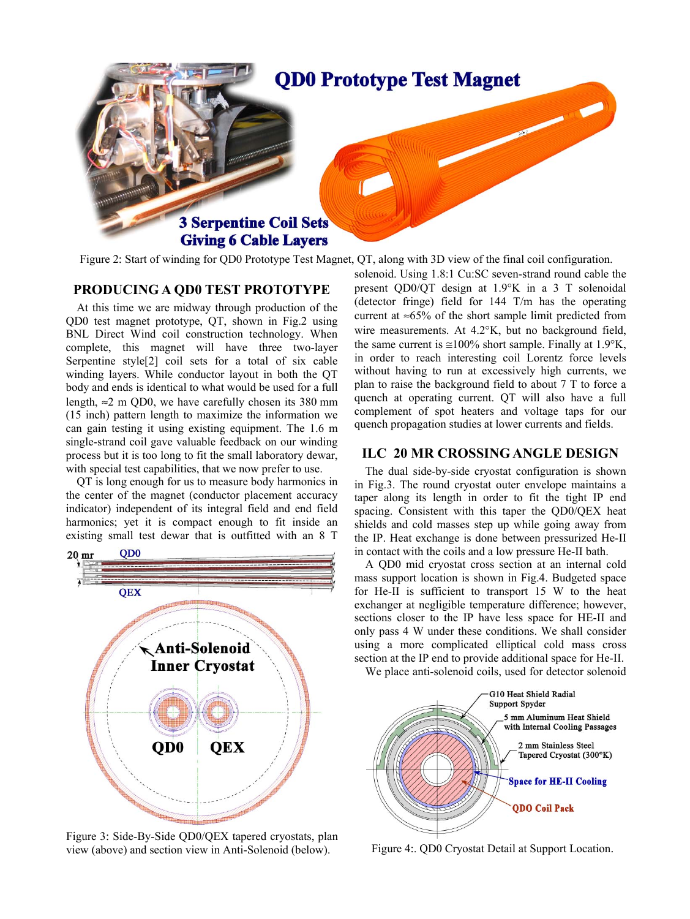

Figure 2: Start of winding for QD0 Prototype Test Magnet, QT, along with 3D view of the final coil configuration.

## **PRODUCING A QD0 TEST PROTOTYPE**

At this time we are midway through production of the QD0 test magnet prototype, QT, shown in Fig.2 using BNL Direct Wind coil construction technology. When complete, this magnet will have three two-layer Serpentine style[2] coil sets for a total of six cable winding layers. While conductor layout in both the QT body and ends is identical to what would be used for a full length,  $\approx$  2 m QD0, we have carefully chosen its 380 mm (15 inch) pattern length to maximize the information we can gain testing it using existing equipment. The 1.6 m single-strand coil gave valuable feedback on our winding process but it is too long to fit the small laboratory dewar, with special test capabilities, that we now prefer to use.

QT is long enough for us to measure body harmonics in the center of the magnet (conductor placement accuracy indicator) independent of its integral field and end field harmonics; yet it is compact enough to fit inside an existing small test dewar that is outfitted with an 8 T



Figure 3: Side-By-Side QD0/QEX tapered cryostats, plan view (above) and section view in Anti-Solenoid (below).

solenoid. Using 1.8:1 Cu:SC seven-strand round cable the present QD0/QT design at 1.9°K in a 3 T solenoidal (detector fringe) field for 144 T/m has the operating current at  $\approx 65\%$  of the short sample limit predicted from wire measurements. At 4.2°K, but no background field, the same current is  $\approx 100\%$  short sample. Finally at 1.9°K, in order to reach interesting coil Lorentz force levels without having to run at excessively high currents, we plan to raise the background field to about 7 T to force a quench at operating current. QT will also have a full complement of spot heaters and voltage taps for our quench propagation studies at lower currents and fields.

### **ILC 20 MR CROSSING ANGLE DESIGN**

The dual side-by-side cryostat configuration is shown in Fig.3. The round cryostat outer envelope maintains a taper along its length in order to fit the tight IP end spacing. Consistent with this taper the QD0/QEX heat shields and cold masses step up while going away from the IP. Heat exchange is done between pressurized He-II in contact with the coils and a low pressure He-II bath.

A QD0 mid cryostat cross section at an internal cold mass support location is shown in Fig.4. Budgeted space for He-II is sufficient to transport 15 W to the heat exchanger at negligible temperature difference; however, sections closer to the IP have less space for HE-II and only pass 4 W under these conditions. We shall consider using a more complicated elliptical cold mass cross section at the IP end to provide additional space for He-II.

We place anti-solenoid coils, used for detector solenoid



Figure 4:. QD0 Cryostat Detail at Support Location.